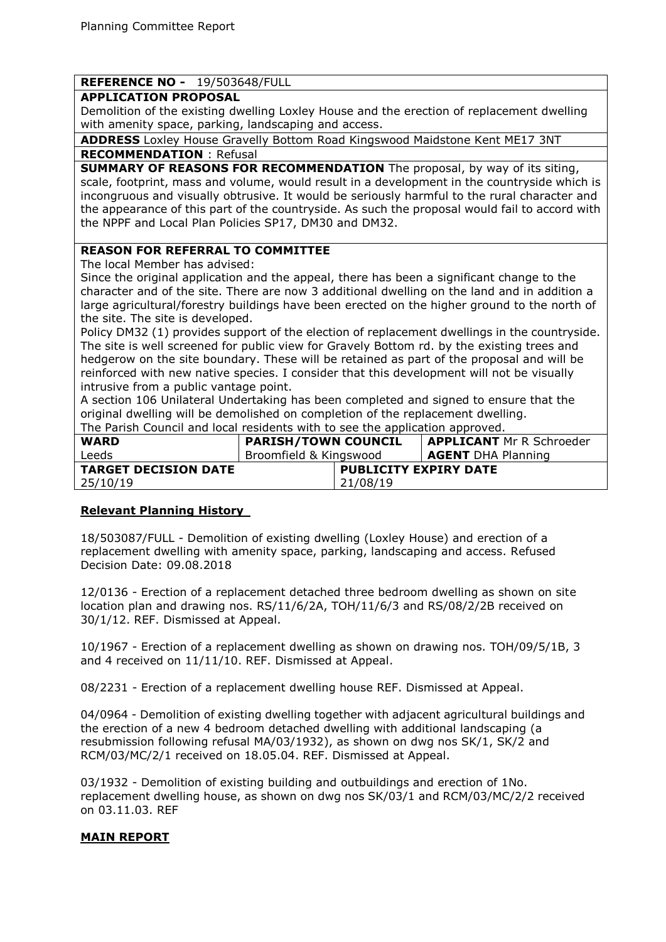## **REFERENCE NO -** 19/503648/FULL

#### **APPLICATION PROPOSAL**

Demolition of the existing dwelling Loxley House and the erection of replacement dwelling with amenity space, parking, landscaping and access.

**ADDRESS** Loxley House Gravelly Bottom Road Kingswood Maidstone Kent ME17 3NT **RECOMMENDATION** : Refusal

**SUMMARY OF REASONS FOR RECOMMENDATION** The proposal, by way of its siting, scale, footprint, mass and volume, would result in a development in the countryside which is incongruous and visually obtrusive. It would be seriously harmful to the rural character and the appearance of this part of the countryside. As such the proposal would fail to accord with the NPPF and Local Plan Policies SP17, DM30 and DM32.

## **REASON FOR REFERRAL TO COMMITTEE**

The local Member has advised:

Since the original application and the appeal, there has been a significant change to the character and of the site. There are now 3 additional dwelling on the land and in addition a large agricultural/forestry buildings have been erected on the higher ground to the north of the site. The site is developed.

Policy DM32 (1) provides support of the election of replacement dwellings in the countryside. The site is well screened for public view for Gravely Bottom rd. by the existing trees and hedgerow on the site boundary. These will be retained as part of the proposal and will be reinforced with new native species. I consider that this development will not be visually intrusive from a public vantage point.

A section 106 Unilateral Undertaking has been completed and signed to ensure that the original dwelling will be demolished on completion of the replacement dwelling. The Parish Council and local residents with to see the application approved.

| The Fanon council and local residence men to see the application approved. |                            |                              |                                 |
|----------------------------------------------------------------------------|----------------------------|------------------------------|---------------------------------|
| <b>WARD</b>                                                                | <b>PARISH/TOWN COUNCIL</b> |                              | <b>APPLICANT</b> Mr R Schroeder |
| Leeds                                                                      | Broomfield & Kingswood     |                              | <b>AGENT</b> DHA Planning       |
| <b>TARGET DECISION DATE</b>                                                |                            | <b>PUBLICITY EXPIRY DATE</b> |                                 |
| 25/10/19                                                                   |                            | 21/08/19                     |                                 |

## **Relevant Planning History**

18/503087/FULL - Demolition of existing dwelling (Loxley House) and erection of a replacement dwelling with amenity space, parking, landscaping and access. Refused Decision Date: 09.08.2018

12/0136 - Erection of a replacement detached three bedroom dwelling as shown on site location plan and drawing nos. RS/11/6/2A, TOH/11/6/3 and RS/08/2/2B received on 30/1/12. REF. Dismissed at Appeal.

10/1967 - Erection of a replacement dwelling as shown on drawing nos. TOH/09/5/1B, 3 and 4 received on 11/11/10. REF. Dismissed at Appeal.

08/2231 - Erection of a replacement dwelling house REF. Dismissed at Appeal.

04/0964 - Demolition of existing dwelling together with adjacent agricultural buildings and the erection of a new 4 bedroom detached dwelling with additional landscaping (a resubmission following refusal MA/03/1932), as shown on dwg nos SK/1, SK/2 and RCM/03/MC/2/1 received on 18.05.04. REF. Dismissed at Appeal.

03/1932 - Demolition of existing building and outbuildings and erection of 1No. replacement dwelling house, as shown on dwg nos SK/03/1 and RCM/03/MC/2/2 received on 03.11.03. REF

## **MAIN REPORT**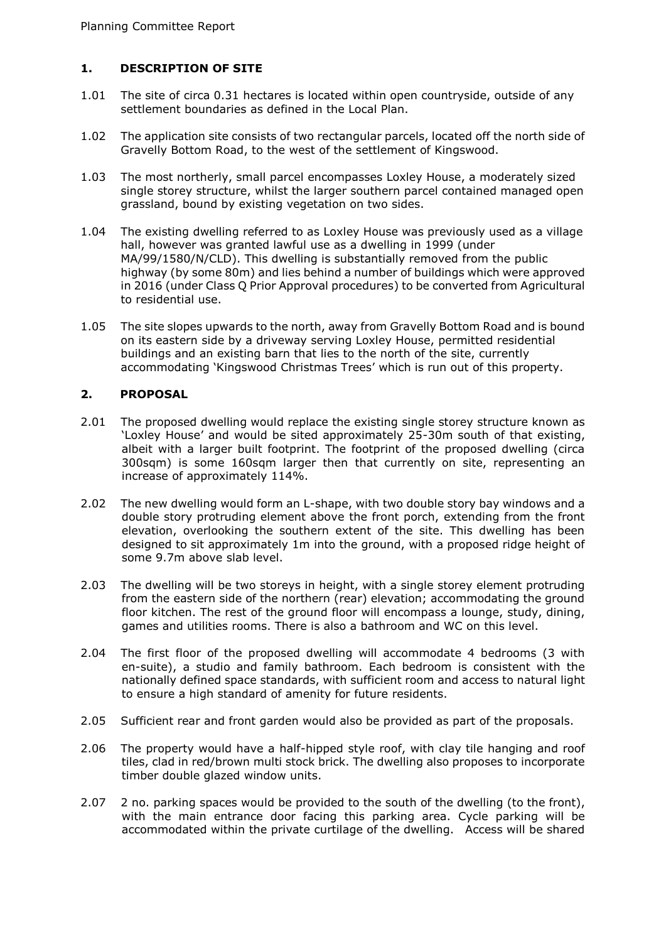# **1. DESCRIPTION OF SITE**

- 1.01 The site of circa 0.31 hectares is located within open countryside, outside of any settlement boundaries as defined in the Local Plan.
- 1.02 The application site consists of two rectangular parcels, located off the north side of Gravelly Bottom Road, to the west of the settlement of Kingswood.
- 1.03 The most northerly, small parcel encompasses Loxley House, a moderately sized single storey structure, whilst the larger southern parcel contained managed open grassland, bound by existing vegetation on two sides.
- 1.04 The existing dwelling referred to as Loxley House was previously used as a village hall, however was granted lawful use as a dwelling in 1999 (under MA/99/1580/N/CLD). This dwelling is substantially removed from the public highway (by some 80m) and lies behind a number of buildings which were approved in 2016 (under Class Q Prior Approval procedures) to be converted from Agricultural to residential use.
- 1.05 The site slopes upwards to the north, away from Gravelly Bottom Road and is bound on its eastern side by a driveway serving Loxley House, permitted residential buildings and an existing barn that lies to the north of the site, currently accommodating 'Kingswood Christmas Trees' which is run out of this property.

## **2. PROPOSAL**

- 2.01 The proposed dwelling would replace the existing single storey structure known as 'Loxley House' and would be sited approximately 25-30m south of that existing, albeit with a larger built footprint. The footprint of the proposed dwelling (circa 300sqm) is some 160sqm larger then that currently on site, representing an increase of approximately 114%.
- 2.02 The new dwelling would form an L-shape, with two double story bay windows and a double story protruding element above the front porch, extending from the front elevation, overlooking the southern extent of the site. This dwelling has been designed to sit approximately 1m into the ground, with a proposed ridge height of some 9.7m above slab level.
- 2.03 The dwelling will be two storeys in height, with a single storey element protruding from the eastern side of the northern (rear) elevation; accommodating the ground floor kitchen. The rest of the ground floor will encompass a lounge, study, dining, games and utilities rooms. There is also a bathroom and WC on this level.
- 2.04 The first floor of the proposed dwelling will accommodate 4 bedrooms (3 with en-suite), a studio and family bathroom. Each bedroom is consistent with the nationally defined space standards, with sufficient room and access to natural light to ensure a high standard of amenity for future residents.
- 2.05 Sufficient rear and front garden would also be provided as part of the proposals.
- 2.06 The property would have a half-hipped style roof, with clay tile hanging and roof tiles, clad in red/brown multi stock brick. The dwelling also proposes to incorporate timber double glazed window units.
- 2.07 2 no. parking spaces would be provided to the south of the dwelling (to the front), with the main entrance door facing this parking area. Cycle parking will be accommodated within the private curtilage of the dwelling. Access will be shared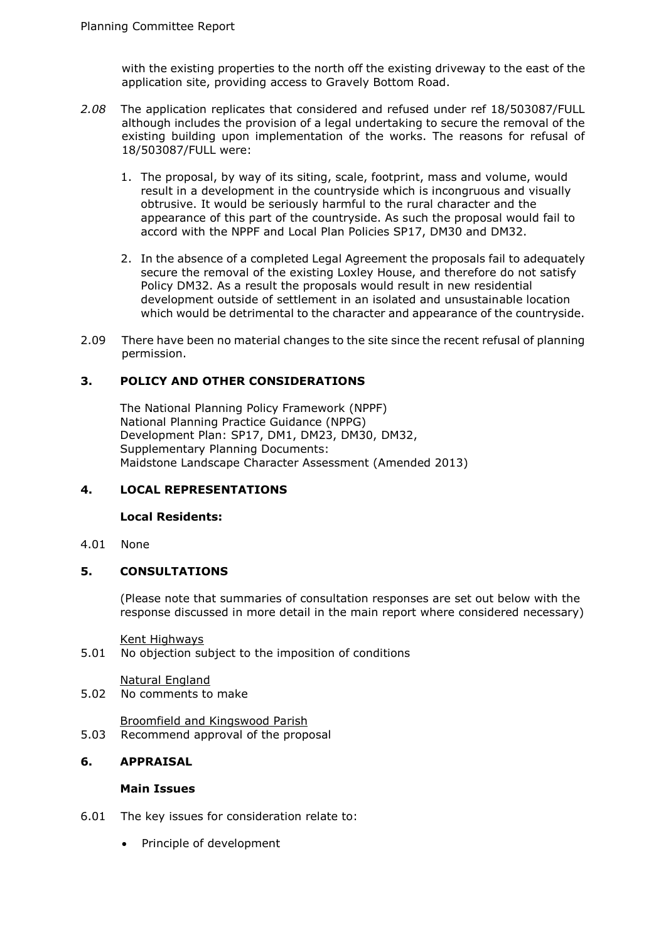with the existing properties to the north off the existing driveway to the east of the application site, providing access to Gravely Bottom Road.

- *2.08* The application replicates that considered and refused under ref 18/503087/FULL although includes the provision of a legal undertaking to secure the removal of the existing building upon implementation of the works. The reasons for refusal of 18/503087/FULL were:
	- 1. The proposal, by way of its siting, scale, footprint, mass and volume, would result in a development in the countryside which is incongruous and visually obtrusive. It would be seriously harmful to the rural character and the appearance of this part of the countryside. As such the proposal would fail to accord with the NPPF and Local Plan Policies SP17, DM30 and DM32.
	- 2. In the absence of a completed Legal Agreement the proposals fail to adequately secure the removal of the existing Loxley House, and therefore do not satisfy Policy DM32. As a result the proposals would result in new residential development outside of settlement in an isolated and unsustainable location which would be detrimental to the character and appearance of the countryside.
- 2.09 There have been no material changes to the site since the recent refusal of planning permission.

## **3. POLICY AND OTHER CONSIDERATIONS**

The National Planning Policy Framework (NPPF) National Planning Practice Guidance (NPPG) Development Plan: SP17, DM1, DM23, DM30, DM32, Supplementary Planning Documents: Maidstone Landscape Character Assessment (Amended 2013)

#### **4. LOCAL REPRESENTATIONS**

#### **Local Residents:**

4.01 None

#### **5. CONSULTATIONS**

(Please note that summaries of consultation responses are set out below with the response discussed in more detail in the main report where considered necessary)

Kent Highways

5.01 No objection subject to the imposition of conditions

Natural England 5.02 No comments to make

- Broomfield and Kingswood Parish
- 5.03 Recommend approval of the proposal

## **6. APPRAISAL**

#### **Main Issues**

- 6.01 The key issues for consideration relate to:
	- Principle of development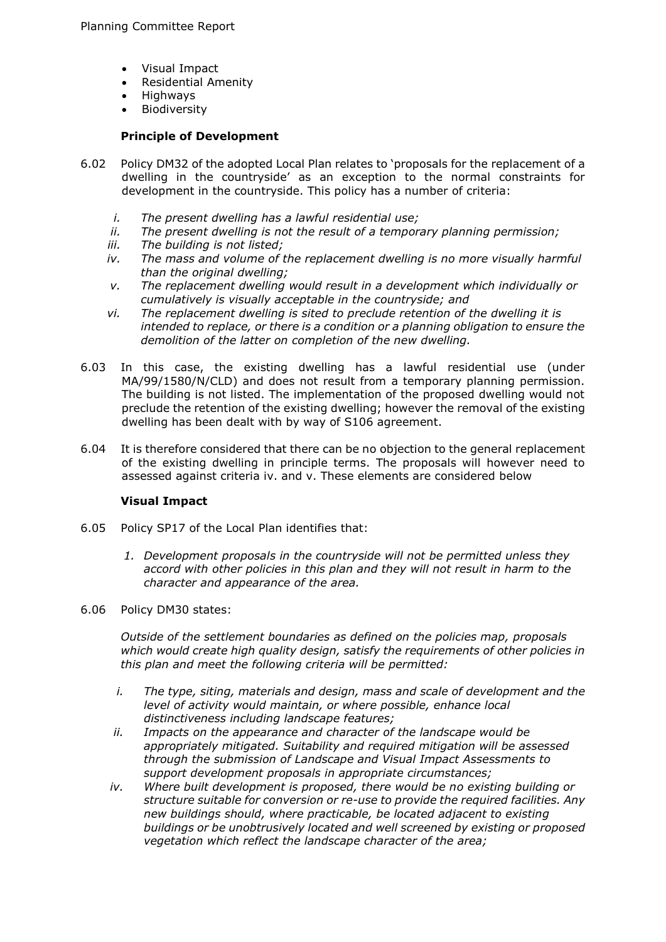- Visual Impact
- Residential Amenity
- Highways
- Biodiversity

#### **Principle of Development**

- 6.02 Policy DM32 of the adopted Local Plan relates to 'proposals for the replacement of a dwelling in the countryside' as an exception to the normal constraints for development in the countryside. This policy has a number of criteria:
	- *i. The present dwelling has a lawful residential use;*
	- *ii. The present dwelling is not the result of a temporary planning permission;*
	- *iii. The building is not listed;*
	- *iv.* The mass and volume of the replacement dwelling is no more visually harmful *than the original dwelling;*
	- *v. The replacement dwelling would result in a development which individually or cumulatively is visually acceptable in the countryside; and*
	- *vi. The replacement dwelling is sited to preclude retention of the dwelling it is intended to replace, or there is a condition or a planning obligation to ensure the demolition of the latter on completion of the new dwelling.*
- 6.03 In this case, the existing dwelling has a lawful residential use (under MA/99/1580/N/CLD) and does not result from a temporary planning permission. The building is not listed. The implementation of the proposed dwelling would not preclude the retention of the existing dwelling; however the removal of the existing dwelling has been dealt with by way of S106 agreement.
- 6.04 It is therefore considered that there can be no objection to the general replacement of the existing dwelling in principle terms. The proposals will however need to assessed against criteria iv. and v. These elements are considered below

## **Visual Impact**

- 6.05 Policy SP17 of the Local Plan identifies that:
	- *1. Development proposals in the countryside will not be permitted unless they accord with other policies in this plan and they will not result in harm to the character and appearance of the area.*
- 6.06 Policy DM30 states:

*Outside of the settlement boundaries as defined on the policies map, proposals which would create high quality design, satisfy the requirements of other policies in this plan and meet the following criteria will be permitted:* 

- *i. The type, siting, materials and design, mass and scale of development and the level of activity would maintain, or where possible, enhance local distinctiveness including landscape features;*
- *ii. Impacts on the appearance and character of the landscape would be appropriately mitigated. Suitability and required mitigation will be assessed through the submission of Landscape and Visual Impact Assessments to support development proposals in appropriate circumstances;*
- *iv. Where built development is proposed, there would be no existing building or structure suitable for conversion or re-use to provide the required facilities. Any new buildings should, where practicable, be located adjacent to existing buildings or be unobtrusively located and well screened by existing or proposed vegetation which reflect the landscape character of the area;*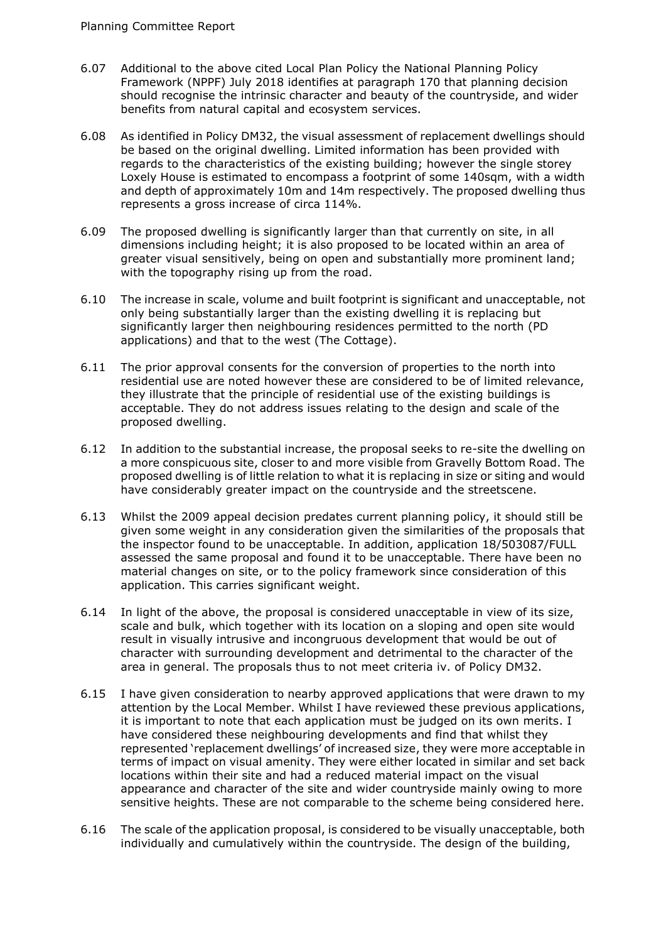- 6.07 Additional to the above cited Local Plan Policy the National Planning Policy Framework (NPPF) July 2018 identifies at paragraph 170 that planning decision should recognise the intrinsic character and beauty of the countryside, and wider benefits from natural capital and ecosystem services.
- 6.08 As identified in Policy DM32, the visual assessment of replacement dwellings should be based on the original dwelling. Limited information has been provided with regards to the characteristics of the existing building; however the single storey Loxely House is estimated to encompass a footprint of some 140sqm, with a width and depth of approximately 10m and 14m respectively. The proposed dwelling thus represents a gross increase of circa 114%.
- 6.09 The proposed dwelling is significantly larger than that currently on site, in all dimensions including height; it is also proposed to be located within an area of greater visual sensitively, being on open and substantially more prominent land; with the topography rising up from the road.
- 6.10 The increase in scale, volume and built footprint is significant and unacceptable, not only being substantially larger than the existing dwelling it is replacing but significantly larger then neighbouring residences permitted to the north (PD applications) and that to the west (The Cottage).
- 6.11 The prior approval consents for the conversion of properties to the north into residential use are noted however these are considered to be of limited relevance, they illustrate that the principle of residential use of the existing buildings is acceptable. They do not address issues relating to the design and scale of the proposed dwelling.
- 6.12 In addition to the substantial increase, the proposal seeks to re-site the dwelling on a more conspicuous site, closer to and more visible from Gravelly Bottom Road. The proposed dwelling is of little relation to what it is replacing in size or siting and would have considerably greater impact on the countryside and the streetscene.
- 6.13 Whilst the 2009 appeal decision predates current planning policy, it should still be given some weight in any consideration given the similarities of the proposals that the inspector found to be unacceptable. In addition, application 18/503087/FULL assessed the same proposal and found it to be unacceptable. There have been no material changes on site, or to the policy framework since consideration of this application. This carries significant weight.
- 6.14 In light of the above, the proposal is considered unacceptable in view of its size, scale and bulk, which together with its location on a sloping and open site would result in visually intrusive and incongruous development that would be out of character with surrounding development and detrimental to the character of the area in general. The proposals thus to not meet criteria iv. of Policy DM32.
- 6.15 I have given consideration to nearby approved applications that were drawn to my attention by the Local Member. Whilst I have reviewed these previous applications, it is important to note that each application must be judged on its own merits. I have considered these neighbouring developments and find that whilst they represented 'replacement dwellings' of increased size, they were more acceptable in terms of impact on visual amenity. They were either located in similar and set back locations within their site and had a reduced material impact on the visual appearance and character of the site and wider countryside mainly owing to more sensitive heights. These are not comparable to the scheme being considered here.
- 6.16 The scale of the application proposal, is considered to be visually unacceptable, both individually and cumulatively within the countryside. The design of the building,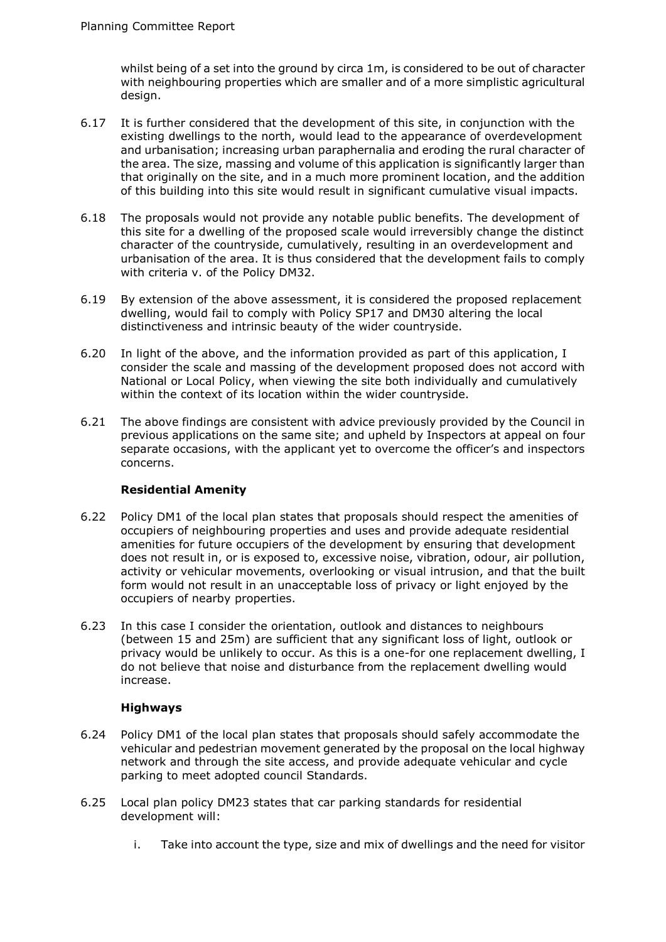whilst being of a set into the ground by circa 1m, is considered to be out of character with neighbouring properties which are smaller and of a more simplistic agricultural design.

- 6.17 It is further considered that the development of this site, in conjunction with the existing dwellings to the north, would lead to the appearance of overdevelopment and urbanisation; increasing urban paraphernalia and eroding the rural character of the area. The size, massing and volume of this application is significantly larger than that originally on the site, and in a much more prominent location, and the addition of this building into this site would result in significant cumulative visual impacts.
- 6.18 The proposals would not provide any notable public benefits. The development of this site for a dwelling of the proposed scale would irreversibly change the distinct character of the countryside, cumulatively, resulting in an overdevelopment and urbanisation of the area. It is thus considered that the development fails to comply with criteria v. of the Policy DM32.
- 6.19 By extension of the above assessment, it is considered the proposed replacement dwelling, would fail to comply with Policy SP17 and DM30 altering the local distinctiveness and intrinsic beauty of the wider countryside.
- 6.20 In light of the above, and the information provided as part of this application, I consider the scale and massing of the development proposed does not accord with National or Local Policy, when viewing the site both individually and cumulatively within the context of its location within the wider countryside.
- 6.21 The above findings are consistent with advice previously provided by the Council in previous applications on the same site; and upheld by Inspectors at appeal on four separate occasions, with the applicant yet to overcome the officer's and inspectors concerns.

## **Residential Amenity**

- 6.22 Policy DM1 of the local plan states that proposals should respect the amenities of occupiers of neighbouring properties and uses and provide adequate residential amenities for future occupiers of the development by ensuring that development does not result in, or is exposed to, excessive noise, vibration, odour, air pollution, activity or vehicular movements, overlooking or visual intrusion, and that the built form would not result in an unacceptable loss of privacy or light enjoyed by the occupiers of nearby properties.
- 6.23 In this case I consider the orientation, outlook and distances to neighbours (between 15 and 25m) are sufficient that any significant loss of light, outlook or privacy would be unlikely to occur. As this is a one-for one replacement dwelling, I do not believe that noise and disturbance from the replacement dwelling would increase.

## **Highways**

- 6.24 Policy DM1 of the local plan states that proposals should safely accommodate the vehicular and pedestrian movement generated by the proposal on the local highway network and through the site access, and provide adequate vehicular and cycle parking to meet adopted council Standards.
- 6.25 Local plan policy DM23 states that car parking standards for residential development will:
	- i. Take into account the type, size and mix of dwellings and the need for visitor